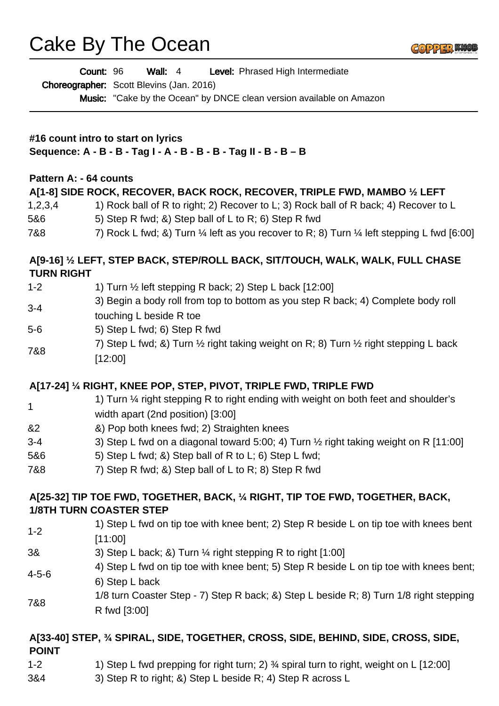## Cake By The Ocean

|                                                                                                        | Count: 96<br><b>Wall:</b> 4<br>Level: Phrased High Intermediate                                                         |  |
|--------------------------------------------------------------------------------------------------------|-------------------------------------------------------------------------------------------------------------------------|--|
|                                                                                                        | <b>Choreographer:</b> Scott Blevins (Jan. 2016)<br>Music: "Cake by the Ocean" by DNCE clean version available on Amazon |  |
| #16 count intro to start on lyrics<br>Sequence: A - B - B - Tag I - A - B - B - B - Tag II - B - B - B |                                                                                                                         |  |
| Pattern A: - 64 counts                                                                                 |                                                                                                                         |  |
|                                                                                                        | A[1-8] SIDE ROCK, RECOVER, BACK ROCK, RECOVER, TRIPLE FWD, MAMBO 1/2 LEFT                                               |  |
| 1,2,3,4                                                                                                | 1) Rock ball of R to right; 2) Recover to L; 3) Rock ball of R back; 4) Recover to L                                    |  |
| 5&6                                                                                                    | 5) Step R fwd; &) Step ball of L to R; 6) Step R fwd                                                                    |  |
| 7&8                                                                                                    | 7) Rock L fwd; &) Turn 1/4 left as you recover to R; 8) Turn 1/4 left stepping L fwd [6:00]                             |  |
| <b>TURN RIGHT</b>                                                                                      | A[9-16] 1/2 LEFT, STEP BACK, STEP/ROLL BACK, SIT/TOUCH, WALK, WALK, FULL CHASE                                          |  |
| $1 - 2$                                                                                                | 1) Turn 1/2 left stepping R back; 2) Step L back [12:00]                                                                |  |
| $3 - 4$                                                                                                | 3) Begin a body roll from top to bottom as you step R back; 4) Complete body roll                                       |  |
|                                                                                                        | touching L beside R toe                                                                                                 |  |
| $5-6$                                                                                                  | 5) Step L fwd; 6) Step R fwd                                                                                            |  |
| 7&8                                                                                                    | 7) Step L fwd; &) Turn $\frac{1}{2}$ right taking weight on R; 8) Turn $\frac{1}{2}$ right stepping L back<br>[12:00]   |  |
|                                                                                                        | A[17-24] 1/4 RIGHT, KNEE POP, STEP, PIVOT, TRIPLE FWD, TRIPLE FWD                                                       |  |
|                                                                                                        | 1) Turn 1/4 right stepping R to right ending with weight on both feet and shoulder's                                    |  |
| 1                                                                                                      | width apart (2nd position) [3:00]                                                                                       |  |
| &2                                                                                                     | &) Pop both knees fwd; 2) Straighten knees                                                                              |  |
| $3 - 4$                                                                                                | 3) Step L fwd on a diagonal toward 5:00; 4) Turn 1/2 right taking weight on R [11:00]                                   |  |
| 5&6                                                                                                    | 5) Step L fwd; &) Step ball of R to L; 6) Step L fwd;                                                                   |  |
| 7&8                                                                                                    | 7) Step R fwd; &) Step ball of L to R; 8) Step R fwd                                                                    |  |
|                                                                                                        | A[25-32] TIP TOE FWD, TOGETHER, BACK, 1/4 RIGHT, TIP TOE FWD, TOGETHER, BACK,                                           |  |
|                                                                                                        | <b>1/8TH TURN COASTER STEP</b>                                                                                          |  |
| $1 - 2$                                                                                                | 1) Step L fwd on tip toe with knee bent; 2) Step R beside L on tip toe with knees bent<br>[11:00]                       |  |
| 3&                                                                                                     | 3) Step L back; &) Turn 1/4 right stepping R to right [1:00]                                                            |  |
| 4-5-6                                                                                                  | 4) Step L fwd on tip toe with knee bent; 5) Step R beside L on tip toe with knees bent;                                 |  |
|                                                                                                        | 6) Step L back                                                                                                          |  |
| 7&8                                                                                                    | 1/8 turn Coaster Step - 7) Step R back; &) Step L beside R; 8) Turn 1/8 right stepping<br>R fwd [3:00]                  |  |
|                                                                                                        | A[33-40] STEP, 34 SPIRAL, SIDE, TOGETHER, CROSS, SIDE, BEHIND, SIDE, CROSS, SIDE,                                       |  |

**COPPER KNC** 

# **POINT**

- 1-2 1) Step L fwd prepping for right turn; 2) % spiral turn to right, weight on L [12:00]
- 3&4 3) Step R to right; &) Step L beside R; 4) Step R across L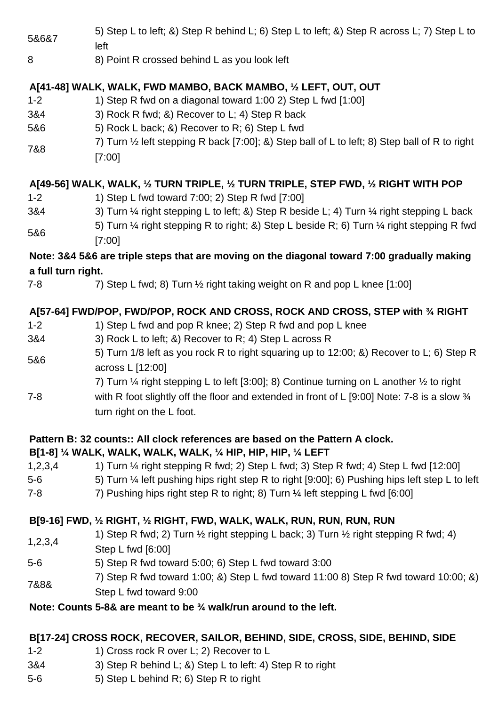| 5&6&7                                                                                       | 5) Step L to left; &) Step R behind L; 6) Step L to left; &) Step R across L; 7) Step L to<br>left                                                                                                                                                                                                                                             |  |
|---------------------------------------------------------------------------------------------|------------------------------------------------------------------------------------------------------------------------------------------------------------------------------------------------------------------------------------------------------------------------------------------------------------------------------------------------|--|
| 8                                                                                           | 8) Point R crossed behind L as you look left                                                                                                                                                                                                                                                                                                   |  |
| $1 - 2$<br>3&4<br>5&6<br>7&8                                                                | A[41-48] WALK, WALK, FWD MAMBO, BACK MAMBO, 1/2 LEFT, OUT, OUT<br>1) Step R fwd on a diagonal toward 1:00 2) Step L fwd [1:00]<br>3) Rock R fwd; &) Recover to L; 4) Step R back<br>5) Rock L back; &) Recover to R; 6) Step L fwd<br>7) Turn 1/2 left stepping R back [7:00]; &) Step ball of L to left; 8) Step ball of R to right<br>[7:00] |  |
| A[49-56] WALK, WALK, 1/2 TURN TRIPLE, 1/2 TURN TRIPLE, STEP FWD, 1/2 RIGHT WITH POP         |                                                                                                                                                                                                                                                                                                                                                |  |
| $1 - 2$                                                                                     | 1) Step L fwd toward 7:00; 2) Step R fwd [7:00]                                                                                                                                                                                                                                                                                                |  |
| 3&4                                                                                         | 3) Turn 1/4 right stepping L to left; &) Step R beside L; 4) Turn 1/4 right stepping L back<br>5) Turn 1/4 right stepping R to right; &) Step L beside R; 6) Turn 1/4 right stepping R fwd                                                                                                                                                     |  |
| 5&6                                                                                         | [7:00]                                                                                                                                                                                                                                                                                                                                         |  |
| Note: 3&4 5&6 are triple steps that are moving on the diagonal toward 7:00 gradually making |                                                                                                                                                                                                                                                                                                                                                |  |
| a full turn right.                                                                          |                                                                                                                                                                                                                                                                                                                                                |  |
| 7-8                                                                                         | 7) Step L fwd; 8) Turn 1/2 right taking weight on R and pop L knee [1:00]                                                                                                                                                                                                                                                                      |  |
|                                                                                             | A[57-64] FWD/POP, FWD/POP, ROCK AND CROSS, ROCK AND CROSS, STEP with 34 RIGHT                                                                                                                                                                                                                                                                  |  |
| $1 - 2$                                                                                     | 1) Step L fwd and pop R knee; 2) Step R fwd and pop L knee                                                                                                                                                                                                                                                                                     |  |
| 3&4                                                                                         | 3) Rock L to left; &) Recover to R; 4) Step L across R                                                                                                                                                                                                                                                                                         |  |
| 5&6                                                                                         | 5) Turn 1/8 left as you rock R to right squaring up to 12:00; &) Recover to L; 6) Step R<br>across L [12:00]                                                                                                                                                                                                                                   |  |
|                                                                                             | 7) Turn $\frac{1}{4}$ right stepping L to left [3:00]; 8) Continue turning on L another $\frac{1}{2}$ to right                                                                                                                                                                                                                                 |  |
| 7-8                                                                                         | with R foot slightly off the floor and extended in front of L [9:00] Note: 7-8 is a slow 3/4<br>turn right on the L foot.                                                                                                                                                                                                                      |  |
| Pattern B: 32 counts:: All clock references are based on the Pattern A clock.               |                                                                                                                                                                                                                                                                                                                                                |  |
|                                                                                             | B[1-8] 1/4 WALK, WALK, WALK, WALK, 1/4 HIP, HIP, HIP, 1/4 LEFT                                                                                                                                                                                                                                                                                 |  |
| 1,2,3,4                                                                                     | 1) Turn 1/4 right stepping R fwd; 2) Step L fwd; 3) Step R fwd; 4) Step L fwd [12:00]                                                                                                                                                                                                                                                          |  |
| $5-6$                                                                                       | 5) Turn 1/4 left pushing hips right step R to right [9:00]; 6) Pushing hips left step L to left                                                                                                                                                                                                                                                |  |
| $7 - 8$                                                                                     | 7) Pushing hips right step R to right; 8) Turn 1/4 left stepping L fwd [6:00]                                                                                                                                                                                                                                                                  |  |
| B[9-16] FWD, 1/2 RIGHT, 1/2 RIGHT, FWD, WALK, WALK, RUN, RUN, RUN, RUN                      |                                                                                                                                                                                                                                                                                                                                                |  |
| 1,2,3,4                                                                                     | 1) Step R fwd; 2) Turn 1/2 right stepping L back; 3) Turn 1/2 right stepping R fwd; 4)<br>Step L fwd [6:00]                                                                                                                                                                                                                                    |  |
| $5-6$                                                                                       | 5) Step R fwd toward 5:00; 6) Step L fwd toward 3:00                                                                                                                                                                                                                                                                                           |  |
| 7&8&                                                                                        | 7) Step R fwd toward 1:00; &) Step L fwd toward 11:00 8) Step R fwd toward 10:00; &)<br>Step L fwd toward 9:00                                                                                                                                                                                                                                 |  |
|                                                                                             | Note: Counts 5-8& are meant to be 3/4 walk/run around to the left.                                                                                                                                                                                                                                                                             |  |
|                                                                                             |                                                                                                                                                                                                                                                                                                                                                |  |
|                                                                                             | B[17-24] CROSS ROCK, RECOVER, SAILOR, BEHIND, SIDE, CROSS, SIDE, BEHIND, SIDE                                                                                                                                                                                                                                                                  |  |
| $1 - 2$                                                                                     | 1) Cross rock R over L; 2) Recover to L                                                                                                                                                                                                                                                                                                        |  |
| 3&4                                                                                         | 3) Step R behind L; &) Step L to left: 4) Step R to right                                                                                                                                                                                                                                                                                      |  |

5-6 5) Step L behind R; 6) Step R to right